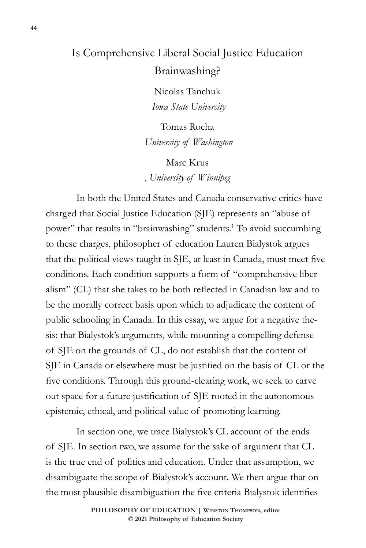## Is Comprehensive Liberal Social Justice Education Brainwashing?

Nicolas Tanchuk  *Iowa State University*

Tomas Rocha *University of Washington*

Marc Krus , *University of Winnipeg*

In both the United States and Canada conservative critics have charged that Social Justice Education (SJE) represents an "abuse of power" that results in "brainwashing" students.<sup>1</sup> To avoid succumbing to these charges, philosopher of education Lauren Bialystok argues that the political views taught in SJE, at least in Canada, must meet five conditions. Each condition supports a form of "comprehensive liberalism" (CL) that she takes to be both reflected in Canadian law and to be the morally correct basis upon which to adjudicate the content of public schooling in Canada. In this essay, we argue for a negative thesis: that Bialystok's arguments, while mounting a compelling defense of SJE on the grounds of CL, do not establish that the content of SJE in Canada or elsewhere must be justified on the basis of CL or the five conditions. Through this ground-clearing work, we seek to carve out space for a future justification of SJE rooted in the autonomous epistemic, ethical, and political value of promoting learning.

In section one, we trace Bialystok's CL account of the ends of SJE. In section two, we assume for the sake of argument that CL is the true end of politics and education. Under that assumption, we disambiguate the scope of Bialystok's account. We then argue that on the most plausible disambiguation the five criteria Bialystok identifies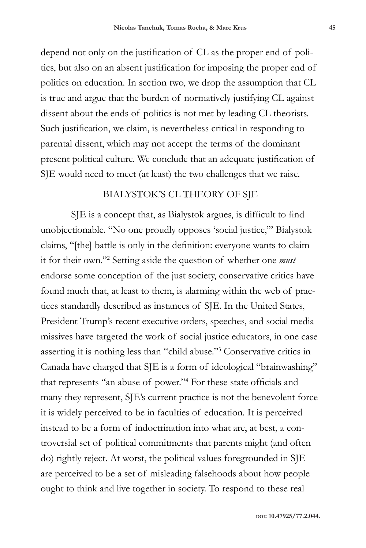depend not only on the justification of CL as the proper end of politics, but also on an absent justification for imposing the proper end of politics on education. In section two, we drop the assumption that CL is true and argue that the burden of normatively justifying CL against dissent about the ends of politics is not met by leading CL theorists. Such justification, we claim, is nevertheless critical in responding to parental dissent, which may not accept the terms of the dominant present political culture. We conclude that an adequate justification of SJE would need to meet (at least) the two challenges that we raise.

## BIALYSTOK'S CL THEORY OF SJE

SJE is a concept that, as Bialystok argues, is difficult to find unobjectionable. "No one proudly opposes 'social justice,'" Bialystok claims, "[the] battle is only in the definition: everyone wants to claim it for their own."2 Setting aside the question of whether one *must* endorse some conception of the just society, conservative critics have found much that, at least to them, is alarming within the web of practices standardly described as instances of SJE. In the United States, President Trump's recent executive orders, speeches, and social media missives have targeted the work of social justice educators, in one case asserting it is nothing less than "child abuse."3 Conservative critics in Canada have charged that SJE is a form of ideological "brainwashing" that represents "an abuse of power."4 For these state officials and many they represent, SJE's current practice is not the benevolent force it is widely perceived to be in faculties of education. It is perceived instead to be a form of indoctrination into what are, at best, a controversial set of political commitments that parents might (and often do) rightly reject. At worst, the political values foregrounded in SJE are perceived to be a set of misleading falsehoods about how people ought to think and live together in society. To respond to these real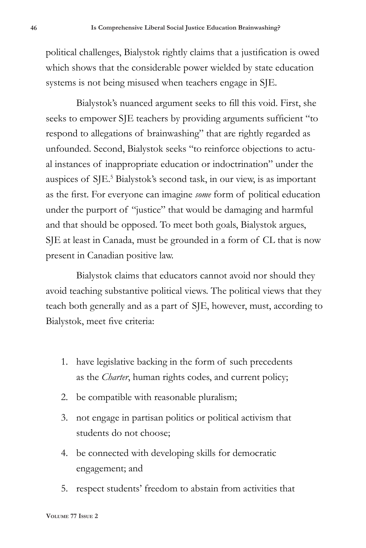political challenges, Bialystok rightly claims that a justification is owed which shows that the considerable power wielded by state education systems is not being misused when teachers engage in SJE.

Bialystok's nuanced argument seeks to fill this void. First, she seeks to empower SJE teachers by providing arguments sufficient "to respond to allegations of brainwashing" that are rightly regarded as unfounded. Second, Bialystok seeks "to reinforce objections to actual instances of inappropriate education or indoctrination" under the auspices of SJE.<sup>5</sup> Bialystok's second task, in our view, is as important as the first. For everyone can imagine *some* form of political education under the purport of "justice" that would be damaging and harmful and that should be opposed. To meet both goals, Bialystok argues, SJE at least in Canada, must be grounded in a form of CL that is now present in Canadian positive law.

Bialystok claims that educators cannot avoid nor should they avoid teaching substantive political views. The political views that they teach both generally and as a part of SJE, however, must, according to Bialystok, meet five criteria:

- 1. have legislative backing in the form of such precedents as the *Charter*, human rights codes, and current policy;
- 2. be compatible with reasonable pluralism;
- 3. not engage in partisan politics or political activism that students do not choose;
- 4. be connected with developing skills for democratic engagement; and
- 5. respect students' freedom to abstain from activities that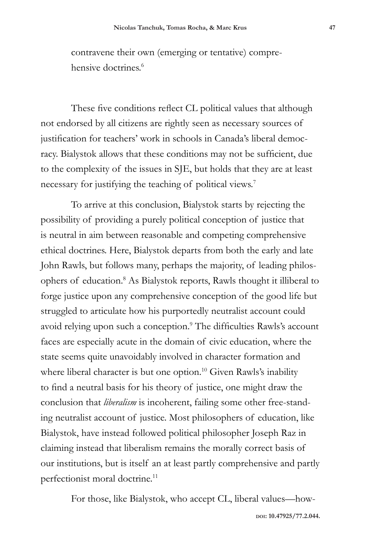contravene their own (emerging or tentative) comprehensive doctrines<sup>6</sup>

These five conditions reflect CL political values that although not endorsed by all citizens are rightly seen as necessary sources of justification for teachers' work in schools in Canada's liberal democracy. Bialystok allows that these conditions may not be sufficient, due to the complexity of the issues in SJE, but holds that they are at least necessary for justifying the teaching of political views.7

To arrive at this conclusion, Bialystok starts by rejecting the possibility of providing a purely political conception of justice that is neutral in aim between reasonable and competing comprehensive ethical doctrines. Here, Bialystok departs from both the early and late John Rawls, but follows many, perhaps the majority, of leading philosophers of education.<sup>8</sup> As Bialystok reports, Rawls thought it illiberal to forge justice upon any comprehensive conception of the good life but struggled to articulate how his purportedly neutralist account could avoid relying upon such a conception.<sup>9</sup> The difficulties Rawls's account faces are especially acute in the domain of civic education, where the state seems quite unavoidably involved in character formation and where liberal character is but one option.<sup>10</sup> Given Rawls's inability to find a neutral basis for his theory of justice, one might draw the conclusion that *liberalism* is incoherent, failing some other free-standing neutralist account of justice. Most philosophers of education, like Bialystok, have instead followed political philosopher Joseph Raz in claiming instead that liberalism remains the morally correct basis of our institutions, but is itself an at least partly comprehensive and partly perfectionist moral doctrine.<sup>11</sup>

For those, like Bialystok, who accept CL, liberal values—how-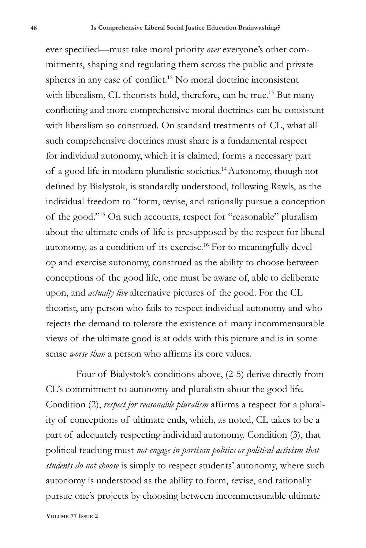ever specified—must take moral priority *over* everyone's other commitments, shaping and regulating them across the public and private spheres in any case of conflict.12 No moral doctrine inconsistent with liberalism, CL theorists hold, therefore, can be true.<sup>13</sup> But many conflicting and more comprehensive moral doctrines can be consistent with liberalism so construed. On standard treatments of CL, what all such comprehensive doctrines must share is a fundamental respect for individual autonomy, which it is claimed, forms a necessary part of a good life in modern pluralistic societies.14Autonomy, though not defined by Bialystok, is standardly understood, following Rawls, as the individual freedom to "form, revise, and rationally pursue a conception of the good."15 On such accounts, respect for "reasonable" pluralism about the ultimate ends of life is presupposed by the respect for liberal autonomy, as a condition of its exercise.<sup>16</sup> For to meaningfully develop and exercise autonomy, construed as the ability to choose between conceptions of the good life, one must be aware of, able to deliberate upon, and *actually live* alternative pictures of the good. For the CL theorist, any person who fails to respect individual autonomy and who rejects the demand to tolerate the existence of many incommensurable views of the ultimate good is at odds with this picture and is in some sense *worse than* a person who affirms its core values.

Four of Bialystok's conditions above, (2-5) derive directly from CL's commitment to autonomy and pluralism about the good life. Condition (2), *respect for reasonable pluralism* affirms a respect for a plurality of conceptions of ultimate ends, which, as noted, CL takes to be a part of adequately respecting individual autonomy. Condition (3), that political teaching must *not engage in partisan politics or political activism that students do not choose* is simply to respect students' autonomy, where such autonomy is understood as the ability to form, revise, and rationally pursue one's projects by choosing between incommensurable ultimate

**Volume 77 Issue 2**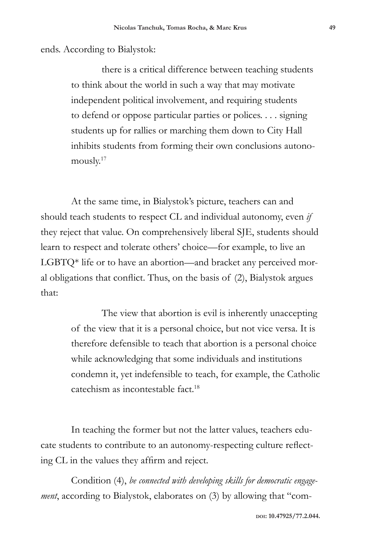ends. According to Bialystok:

there is a critical difference between teaching students to think about the world in such a way that may motivate independent political involvement, and requiring students to defend or oppose particular parties or polices. . . . signing students up for rallies or marching them down to City Hall inhibits students from forming their own conclusions autonomously.17

At the same time, in Bialystok's picture, teachers can and should teach students to respect CL and individual autonomy, even *if*  they reject that value. On comprehensively liberal SJE, students should learn to respect and tolerate others' choice—for example, to live an LGBTQ\* life or to have an abortion—and bracket any perceived moral obligations that conflict. Thus, on the basis of (2), Bialystok argues that:

> The view that abortion is evil is inherently unaccepting of the view that it is a personal choice, but not vice versa. It is therefore defensible to teach that abortion is a personal choice while acknowledging that some individuals and institutions condemn it, yet indefensible to teach, for example, the Catholic catechism as incontestable fact<sup>18</sup>

In teaching the former but not the latter values, teachers educate students to contribute to an autonomy-respecting culture reflecting CL in the values they affirm and reject.

Condition (4), *be connected with developing skills for democratic engagement*, according to Bialystok, elaborates on (3) by allowing that "com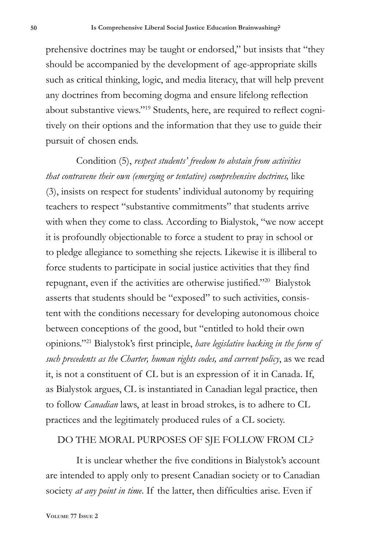prehensive doctrines may be taught or endorsed," but insists that "they should be accompanied by the development of age-appropriate skills such as critical thinking, logic, and media literacy, that will help prevent any doctrines from becoming dogma and ensure lifelong reflection about substantive views."19 Students, here, are required to reflect cognitively on their options and the information that they use to guide their pursuit of chosen ends.

Condition (5), *respect students' freedom to abstain from activities that contravene their own (emerging or tentative) comprehensive doctrines,* like (3), insists on respect for students' individual autonomy by requiring teachers to respect "substantive commitments" that students arrive with when they come to class. According to Bialystok, "we now accept it is profoundly objectionable to force a student to pray in school or to pledge allegiance to something she rejects. Likewise it is illiberal to force students to participate in social justice activities that they find repugnant, even if the activities are otherwise justified."20 Bialystok asserts that students should be "exposed" to such activities, consistent with the conditions necessary for developing autonomous choice between conceptions of the good, but "entitled to hold their own opinions."21 Bialystok's first principle, *have legislative backing in the form of such precedents as the Charter, human rights codes, and current policy*, as we read it, is not a constituent of CL but is an expression of it in Canada. If, as Bialystok argues, CL is instantiated in Canadian legal practice, then to follow *Canadian* laws, at least in broad strokes, is to adhere to CL practices and the legitimately produced rules of a CL society.

## DO THE MORAL PURPOSES OF SJE FOLLOW FROM CL?

It is unclear whether the five conditions in Bialystok's account are intended to apply only to present Canadian society or to Canadian society *at any point in time*. If the latter, then difficulties arise. Even if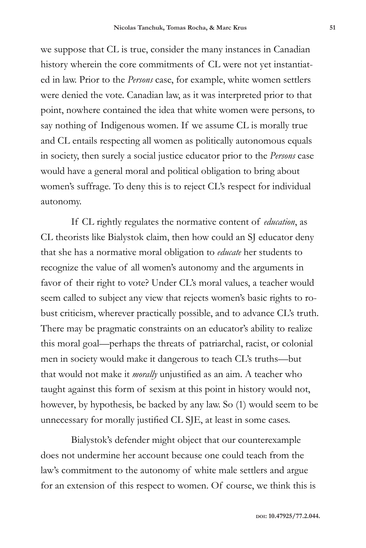we suppose that CL is true, consider the many instances in Canadian history wherein the core commitments of CL were not yet instantiated in law. Prior to the *Persons* case, for example, white women settlers were denied the vote. Canadian law, as it was interpreted prior to that point, nowhere contained the idea that white women were persons, to say nothing of Indigenous women. If we assume CL is morally true and CL entails respecting all women as politically autonomous equals in society, then surely a social justice educator prior to the *Persons* case would have a general moral and political obligation to bring about women's suffrage. To deny this is to reject CL's respect for individual autonomy.

If CL rightly regulates the normative content of *education*, as CL theorists like Bialystok claim, then how could an SJ educator deny that she has a normative moral obligation to *educate* her students to recognize the value of all women's autonomy and the arguments in favor of their right to vote? Under CL's moral values, a teacher would seem called to subject any view that rejects women's basic rights to robust criticism, wherever practically possible, and to advance CL's truth. There may be pragmatic constraints on an educator's ability to realize this moral goal—perhaps the threats of patriarchal, racist, or colonial men in society would make it dangerous to teach CL's truths—but that would not make it *morally* unjustified as an aim. A teacher who taught against this form of sexism at this point in history would not, however, by hypothesis, be backed by any law. So (1) would seem to be unnecessary for morally justified CL SJE, at least in some cases.

Bialystok's defender might object that our counterexample does not undermine her account because one could teach from the law's commitment to the autonomy of white male settlers and argue for an extension of this respect to women. Of course, we think this is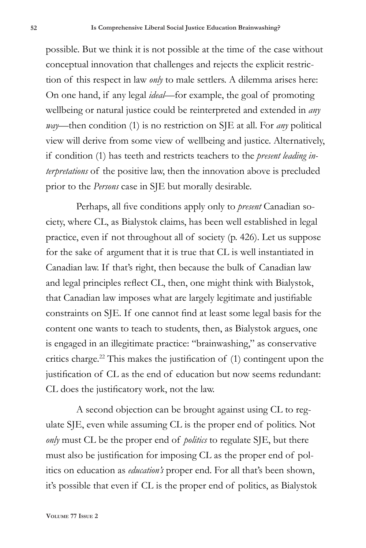possible. But we think it is not possible at the time of the case without conceptual innovation that challenges and rejects the explicit restriction of this respect in law *only* to male settlers. A dilemma arises here: On one hand, if any legal *ideal*—for example, the goal of promoting wellbeing or natural justice could be reinterpreted and extended in *any way*—then condition (1) is no restriction on SJE at all. For *any* political view will derive from some view of wellbeing and justice. Alternatively, if condition (1) has teeth and restricts teachers to the *present leading interpretations* of the positive law, then the innovation above is precluded prior to the *Persons* case in SJE but morally desirable.

Perhaps, all five conditions apply only to *present* Canadian society, where CL, as Bialystok claims, has been well established in legal practice, even if not throughout all of society (p. 426). Let us suppose for the sake of argument that it is true that CL is well instantiated in Canadian law. If that's right, then because the bulk of Canadian law and legal principles reflect CL, then, one might think with Bialystok, that Canadian law imposes what are largely legitimate and justifiable constraints on SJE. If one cannot find at least some legal basis for the content one wants to teach to students, then, as Bialystok argues, one is engaged in an illegitimate practice: "brainwashing," as conservative critics charge.22 This makes the justification of (1) contingent upon the justification of CL as the end of education but now seems redundant: CL does the justificatory work, not the law.

A second objection can be brought against using CL to regulate SJE, even while assuming CL is the proper end of politics. Not *only* must CL be the proper end of *politics* to regulate SJE, but there must also be justification for imposing CL as the proper end of politics on education as *education's* proper end. For all that's been shown, it's possible that even if CL is the proper end of politics, as Bialystok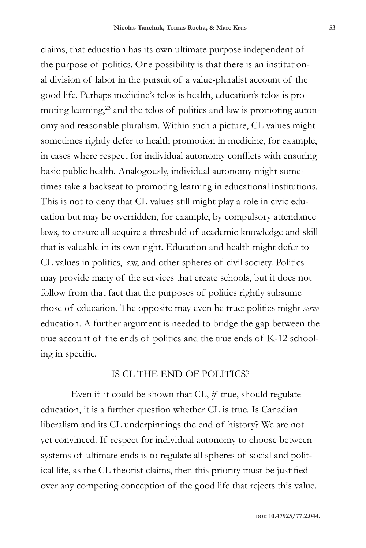claims, that education has its own ultimate purpose independent of the purpose of politics. One possibility is that there is an institutional division of labor in the pursuit of a value-pluralist account of the good life. Perhaps medicine's telos is health, education's telos is promoting learning,<sup>23</sup> and the telos of politics and law is promoting autonomy and reasonable pluralism. Within such a picture, CL values might sometimes rightly defer to health promotion in medicine, for example, in cases where respect for individual autonomy conflicts with ensuring basic public health. Analogously, individual autonomy might sometimes take a backseat to promoting learning in educational institutions. This is not to deny that CL values still might play a role in civic education but may be overridden, for example, by compulsory attendance laws, to ensure all acquire a threshold of academic knowledge and skill that is valuable in its own right. Education and health might defer to CL values in politics, law, and other spheres of civil society. Politics may provide many of the services that create schools, but it does not follow from that fact that the purposes of politics rightly subsume those of education. The opposite may even be true: politics might *serve* education. A further argument is needed to bridge the gap between the true account of the ends of politics and the true ends of K-12 schooling in specific.

## IS CL THE END OF POLITICS?

Even if it could be shown that CL, *if* true, should regulate education, it is a further question whether CL is true. Is Canadian liberalism and its CL underpinnings the end of history? We are not yet convinced. If respect for individual autonomy to choose between systems of ultimate ends is to regulate all spheres of social and political life, as the CL theorist claims, then this priority must be justified over any competing conception of the good life that rejects this value.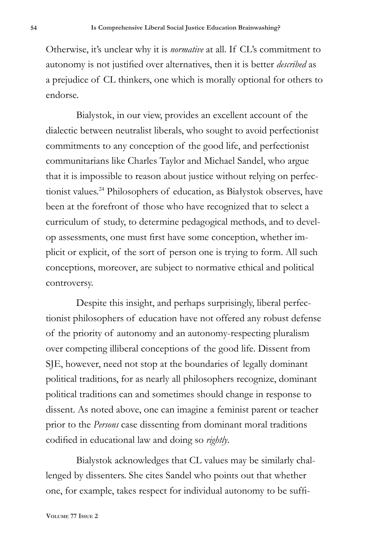Otherwise, it's unclear why it is *normative* at all. If CL's commitment to autonomy is not justified over alternatives, then it is better *described* as a prejudice of CL thinkers, one which is morally optional for others to endorse.

Bialystok, in our view, provides an excellent account of the dialectic between neutralist liberals, who sought to avoid perfectionist commitments to any conception of the good life, and perfectionist communitarians like Charles Taylor and Michael Sandel, who argue that it is impossible to reason about justice without relying on perfectionist values.24 Philosophers of education, as Białystok observes, have been at the forefront of those who have recognized that to select a curriculum of study, to determine pedagogical methods, and to develop assessments, one must first have some conception, whether implicit or explicit, of the sort of person one is trying to form. All such conceptions, moreover, are subject to normative ethical and political controversy.

Despite this insight, and perhaps surprisingly, liberal perfectionist philosophers of education have not offered any robust defense of the priority of autonomy and an autonomy-respecting pluralism over competing illiberal conceptions of the good life. Dissent from SJE, however, need not stop at the boundaries of legally dominant political traditions, for as nearly all philosophers recognize, dominant political traditions can and sometimes should change in response to dissent. As noted above, one can imagine a feminist parent or teacher prior to the *Persons* case dissenting from dominant moral traditions codified in educational law and doing so *rightly*.

Bialystok acknowledges that CL values may be similarly challenged by dissenters. She cites Sandel who points out that whether one, for example, takes respect for individual autonomy to be suffi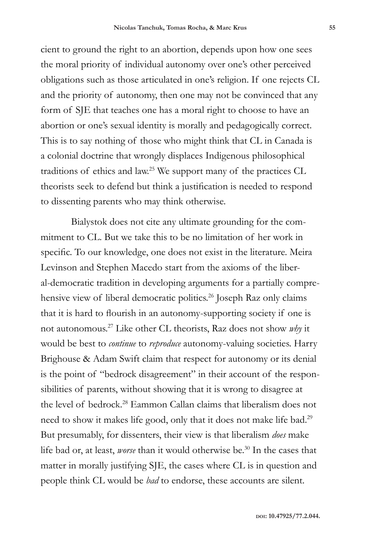cient to ground the right to an abortion, depends upon how one sees the moral priority of individual autonomy over one's other perceived obligations such as those articulated in one's religion. If one rejects CL and the priority of autonomy, then one may not be convinced that any form of SJE that teaches one has a moral right to choose to have an abortion or one's sexual identity is morally and pedagogically correct. This is to say nothing of those who might think that CL in Canada is a colonial doctrine that wrongly displaces Indigenous philosophical traditions of ethics and law.25 We support many of the practices CL theorists seek to defend but think a justification is needed to respond to dissenting parents who may think otherwise.

Bialystok does not cite any ultimate grounding for the commitment to CL. But we take this to be no limitation of her work in specific. To our knowledge, one does not exist in the literature. Meira Levinson and Stephen Macedo start from the axioms of the liberal-democratic tradition in developing arguments for a partially comprehensive view of liberal democratic politics.<sup>26</sup> Joseph Raz only claims that it is hard to flourish in an autonomy-supporting society if one is not autonomous.27 Like other CL theorists, Raz does not show *why* it would be best to *continue* to *reproduce* autonomy-valuing societies. Harry Brighouse & Adam Swift claim that respect for autonomy or its denial is the point of "bedrock disagreement" in their account of the responsibilities of parents, without showing that it is wrong to disagree at the level of bedrock.28 Eammon Callan claims that liberalism does not need to show it makes life good, only that it does not make life bad.29 But presumably, for dissenters, their view is that liberalism *does* make life bad or, at least, *worse* than it would otherwise be.<sup>30</sup> In the cases that matter in morally justifying SJE, the cases where CL is in question and people think CL would be *bad* to endorse, these accounts are silent.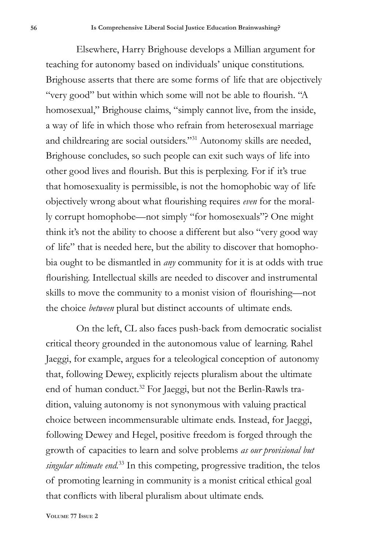Elsewhere, Harry Brighouse develops a Millian argument for teaching for autonomy based on individuals' unique constitutions. Brighouse asserts that there are some forms of life that are objectively "very good" but within which some will not be able to flourish. "A homosexual," Brighouse claims, "simply cannot live, from the inside, a way of life in which those who refrain from heterosexual marriage and childrearing are social outsiders."31 Autonomy skills are needed, Brighouse concludes, so such people can exit such ways of life into other good lives and flourish. But this is perplexing. For if it's true that homosexuality is permissible, is not the homophobic way of life objectively wrong about what flourishing requires *even* for the morally corrupt homophobe—not simply "for homosexuals"? One might think it's not the ability to choose a different but also "very good way of life" that is needed here, but the ability to discover that homophobia ought to be dismantled in *any* community for it is at odds with true flourishing. Intellectual skills are needed to discover and instrumental skills to move the community to a monist vision of flourishing—not the choice *between* plural but distinct accounts of ultimate ends.

On the left, CL also faces push-back from democratic socialist critical theory grounded in the autonomous value of learning. Rahel Jaeggi, for example, argues for a teleological conception of autonomy that, following Dewey, explicitly rejects pluralism about the ultimate end of human conduct.32 For Jaeggi, but not the Berlin-Rawls tradition, valuing autonomy is not synonymous with valuing practical choice between incommensurable ultimate ends. Instead, for Jaeggi, following Dewey and Hegel, positive freedom is forged through the growth of capacities to learn and solve problems *as our provisional but singular ultimate end.*33 In this competing, progressive tradition, the telos of promoting learning in community is a monist critical ethical goal that conflicts with liberal pluralism about ultimate ends.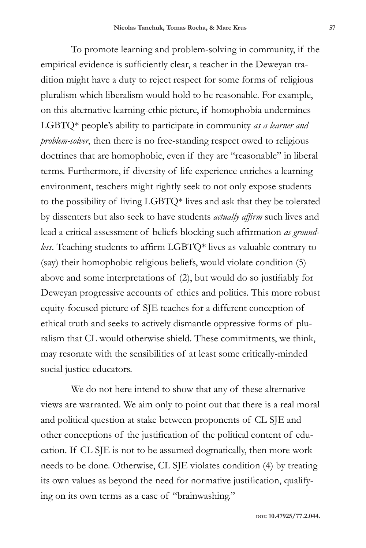To promote learning and problem-solving in community, if the empirical evidence is sufficiently clear, a teacher in the Deweyan tradition might have a duty to reject respect for some forms of religious pluralism which liberalism would hold to be reasonable. For example, on this alternative learning-ethic picture, if homophobia undermines LGBTQ\* people's ability to participate in community *as a learner and problem-solver*, then there is no free-standing respect owed to religious doctrines that are homophobic, even if they are "reasonable" in liberal terms. Furthermore, if diversity of life experience enriches a learning environment, teachers might rightly seek to not only expose students to the possibility of living LGBTQ\* lives and ask that they be tolerated by dissenters but also seek to have students *actually affirm* such lives and lead a critical assessment of beliefs blocking such affirmation *as groundless*. Teaching students to affirm LGBTQ\* lives as valuable contrary to (say) their homophobic religious beliefs, would violate condition (5) above and some interpretations of (2), but would do so justifiably for Deweyan progressive accounts of ethics and politics. This more robust equity-focused picture of SJE teaches for a different conception of ethical truth and seeks to actively dismantle oppressive forms of pluralism that CL would otherwise shield. These commitments, we think, may resonate with the sensibilities of at least some critically-minded social justice educators.

We do not here intend to show that any of these alternative views are warranted. We aim only to point out that there is a real moral and political question at stake between proponents of CL SJE and other conceptions of the justification of the political content of education. If CL SJE is not to be assumed dogmatically, then more work needs to be done. Otherwise, CL SJE violates condition (4) by treating its own values as beyond the need for normative justification, qualifying on its own terms as a case of "brainwashing."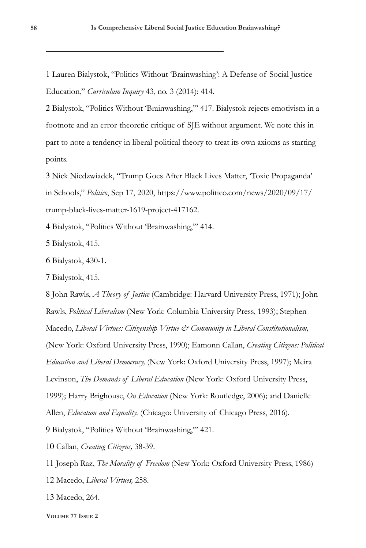1 Lauren Bialystok, "Politics Without 'Brainwashing': A Defense of Social Justice Education," *Curriculum Inquiry* 43, no. 3 (2014): 414.

2 Bialystok, "Politics Without 'Brainwashing,'" 417. Bialystok rejects emotivism in a footnote and an error-theoretic critique of SJE without argument. We note this in part to note a tendency in liberal political theory to treat its own axioms as starting points.

3 Nick Niedzwiadek, "Trump Goes After Black Lives Matter, 'Toxic Propaganda' in Schools," *Politico*, Sep 17, 2020, https://www.politico.com/news/2020/09/17/ trump-black-lives-matter-1619-project-417162.

4 Bialystok, "Politics Without 'Brainwashing,'" 414.

5 Bialystok, 415.

6 Bialystok, 430-1.

7 Bialystok, 415.

8 John Rawls, *A Theory of Justice* (Cambridge: Harvard University Press, 1971); John Rawls, *Political Liberalism* (New York: Columbia University Press, 1993); Stephen Macedo, *Liberal Virtues: Citizenship Virtue & Community in Liberal Constitutionalism,*  (New York: Oxford University Press, 1990); Eamonn Callan, *Creating Citizens: Political Education and Liberal Democracy,* (New York: Oxford University Press, 1997); Meira Levinson, *The Demands of Liberal Education* (New York: Oxford University Press, 1999); Harry Brighouse, *On Education* (New York: Routledge, 2006); and Danielle Allen, *Education and Equality.* (Chicago: University of Chicago Press, 2016). 9 Bialystok, "Politics Without 'Brainwashing,'" 421.

10 Callan, *Creating Citizens,* 38-39.

11 Joseph Raz, *The Morality of Freedom* (New York: Oxford University Press, 1986) 12 Macedo, *Liberal Virtues,* 258.

13 Macedo, 264.